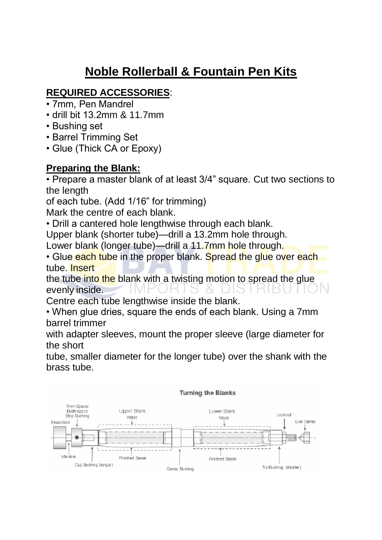## **Noble Rollerball & Fountain Pen Kits**

## **REQUIRED ACCESSORIES**:

- 7mm, Pen Mandrel
- drill bit 13.2mm & 11.7mm
- Bushing set
- Barrel Trimming Set
- Glue (Thick CA or Epoxy)

## **Preparing the Blank:**

• Prepare a master blank of at least 3/4" square. Cut two sections to the length

of each tube. (Add 1/16" for trimming)

Mark the centre of each blank.

• Drill a cantered hole lengthwise through each blank.

Upper blank (shorter tube)—drill a 13.2mm hole through.

Lower blank (longer tube)—drill a 11.7mm hole through.

• Glue each tube in the proper blank. Spread the glue over each tube. Insert

the tube into the blank with a twisting motion to spread the glue evenly inside.

Centre each tube lengthwise inside the blank.

• When glue dries, square the ends of each blank. Using a 7mm barrel trimmer

with adapter sleeves, mount the proper sleeve (large diameter for the short

tube, smaller diameter for the longer tube) over the shank with the brass tube.

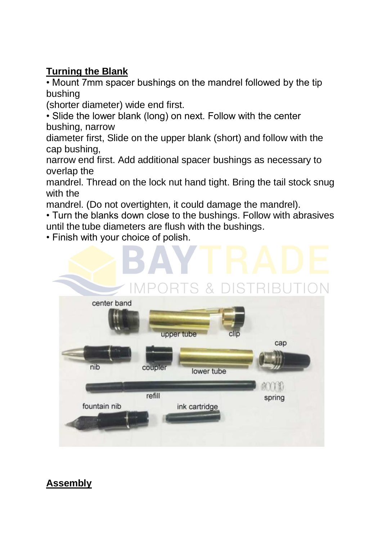## **Turning the Blank**

• Mount 7mm spacer bushings on the mandrel followed by the tip bushing

(shorter diameter) wide end first.

• Slide the lower blank (long) on next. Follow with the center bushing, narrow

diameter first, Slide on the upper blank (short) and follow with the cap bushing,

narrow end first. Add additional spacer bushings as necessary to overlap the

mandrel. Thread on the lock nut hand tight. Bring the tail stock snug with the

mandrel. (Do not overtighten, it could damage the mandrel).

• Turn the blanks down close to the bushings. Follow with abrasives until the tube diameters are flush with the bushings.

• Finish with your choice of polish.



**Assembly**